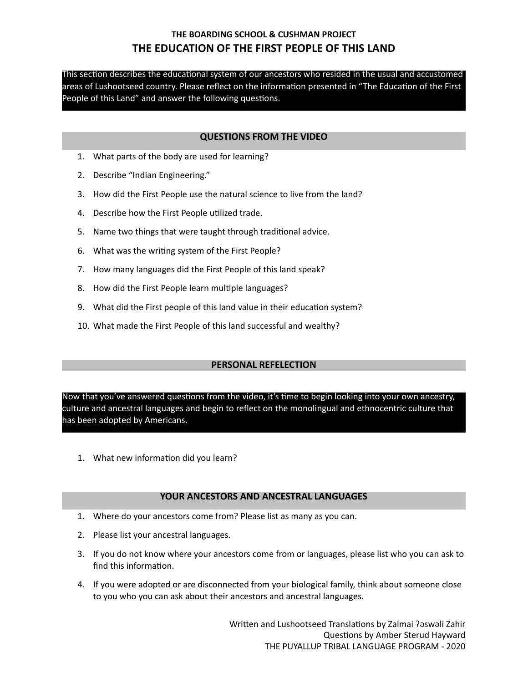This section describes the educational system of our ancestors who resided in the usual and accustomed areas of Lushootseed country. Please reflect on the information presented in "The Education of the First People of this Land" and answer the following questions.

### **QUESTIONS FROM THE VIDEO**

- 1. What parts of the body are used for learning?
- 2. Describe "Indian Engineering."
- 3. How did the First People use the natural science to live from the land?
- 4. Describe how the First People utilized trade.
- 5. Name two things that were taught through traditional advice.
- 6. What was the writing system of the First People?
- 7. How many languages did the First People of this land speak?
- 8. How did the First People learn multiple languages?
- 9. What did the First people of this land value in their education system?
- 10. What made the First People of this land successful and wealthy?

### **PERSONAL REFELECTION**

Now that you've answered questions from the video, it's time to begin looking into your own ancestry, culture and ancestral languages and begin to reflect on the monolingual and ethnocentric culture that has been adopted by Americans.

1. What new information did you learn?

#### **YOUR ANCESTORS AND ANCESTRAL LANGUAGES**

- 1. Where do your ancestors come from? Please list as many as you can.
- 2. Please list your ancestral languages.
- 3. If you do not know where your ancestors come from or languages, please list who you can ask to find this information.
- 4. If you were adopted or are disconnected from your biological family, think about someone close to you who you can ask about their ancestors and ancestral languages.

Written and Lushootseed Translations by Zalmai ?aswali Zahir Questions by Amber Sterud Hayward THE PUYALLUP TRIBAL LANGUAGE PROGRAM - 2020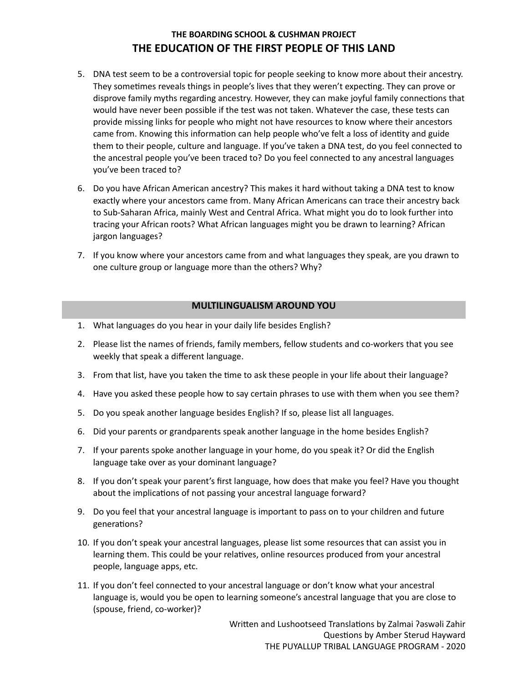- 5. DNA test seem to be a controversial topic for people seeking to know more about their ancestry. They sometimes reveals things in people's lives that they weren't expecting. They can prove or disprove family myths regarding ancestry. However, they can make joyful family connections that would have never been possible if the test was not taken. Whatever the case, these tests can provide missing links for people who might not have resources to know where their ancestors came from. Knowing this information can help people who've felt a loss of identity and guide them to their people, culture and language. If you've taken a DNA test, do you feel connected to the ancestral people you've been traced to? Do you feel connected to any ancestral languages you've been traced to?
- 6. Do you have African American ancestry? This makes it hard without taking a DNA test to know exactly where your ancestors came from. Many African Americans can trace their ancestry back to Sub-Saharan Africa, mainly West and Central Africa. What might you do to look further into tracing your African roots? What African languages might you be drawn to learning? African jargon languages?
- 7. If you know where your ancestors came from and what languages they speak, are you drawn to one culture group or language more than the others? Why?

#### **MULTILINGUALISM AROUND YOU**

- 1. What languages do you hear in your daily life besides English?
- 2. Please list the names of friends, family members, fellow students and co-workers that you see weekly that speak a different language.
- 3. From that list, have you taken the time to ask these people in your life about their language?
- 4. Have you asked these people how to say certain phrases to use with them when you see them?
- 5. Do you speak another language besides English? If so, please list all languages.
- 6. Did your parents or grandparents speak another language in the home besides English?
- 7. If your parents spoke another language in your home, do you speak it? Or did the English language take over as your dominant language?
- 8. If you don't speak your parent's first language, how does that make you feel? Have you thought about the implications of not passing your ancestral language forward?
- 9. Do you feel that your ancestral language is important to pass on to your children and future generations?
- 10. If you don't speak your ancestral languages, please list some resources that can assist you in learning them. This could be your relatives, online resources produced from your ancestral people, language apps, etc.
- 11. If you don't feel connected to your ancestral language or don't know what your ancestral language is, would you be open to learning someone's ancestral language that you are close to (spouse, friend, co-worker)?

Written and Lushootseed Translations by Zalmai ?aswali Zahir Questions by Amber Sterud Hayward THE PUYALLUP TRIBAL LANGUAGE PROGRAM - 2020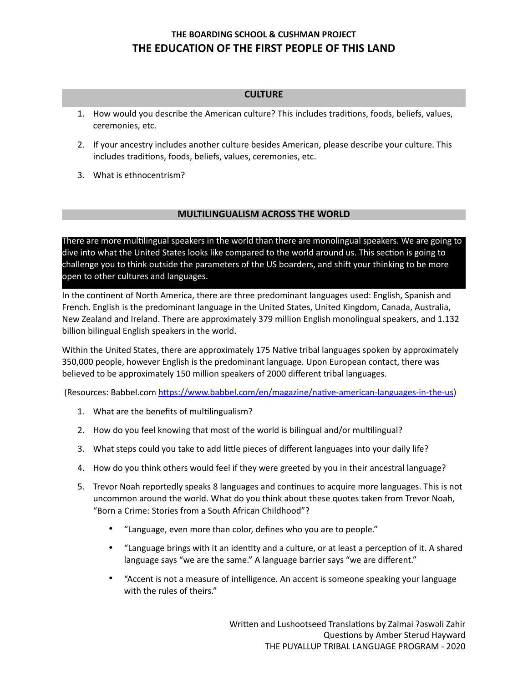### **CULTURE**

- 1. How would you describe the American culture? This includes traditions, foods, beliefs, values, ceremonies, etc.
- 2. If your ancestry includes another culture besides American, please describe your culture. This includes traditions, foods, beliefs, values, ceremonies, etc.
- 3. What is ethnocentrism?

### **MULTILINGUALISM ACROSS THE WORLD**

There are more multilingual speakers in the world than there are monolingual speakers. We are going to dive into what the United States looks like compared to the world around us. This section is going to challenge you to think outside the parameters of the US boarders, and shift your thinking to be more open to other cultures and languages.

In the continent of North America, there are three predominant languages used: English, Spanish and French. English is the predominant language in the United States, United Kingdom, Canada, Australia, New Zealand and Ireland. There are approximately 379 million English monolingual speakers, and 1.132 billion bilingual English speakers in the world.

Within the United States, there are approximately 175 Native tribal languages spoken by approximately 350,000 people, however English is the predominant language. Upon European contact, there was believed to be approximately 150 million speakers of 2000 different tribal languages.

(Resources: Babbel.com https://www.babbel.com/en/magazine/native-american-languages-in-the-us)

- 1. What are the benefits of multilingualism?
- 2. How do you feel knowing that most of the world is bilingual and/or multilingual?
- 3. What steps could you take to add little pieces of different languages into your daily life?
- 4. How do you think others would feel if they were greeted by you in their ancestral language?
- 5. Trevor Noah reportedly speaks 8 languages and continues to acquire more languages. This is not uncommon around the world. What do you think about these quotes taken from Trevor Noah, "Born a Crime: Stories from a South African Childhood"?
	- "Language, even more than color, defines who you are to people."
	- "Language brings with it an identity and a culture, or at least a perception of it. A shared language says "we are the same." A language barrier says "we are different."
	- "Accent is not a measure of intelligence. An accent is someone speaking your language with the rules of theirs."